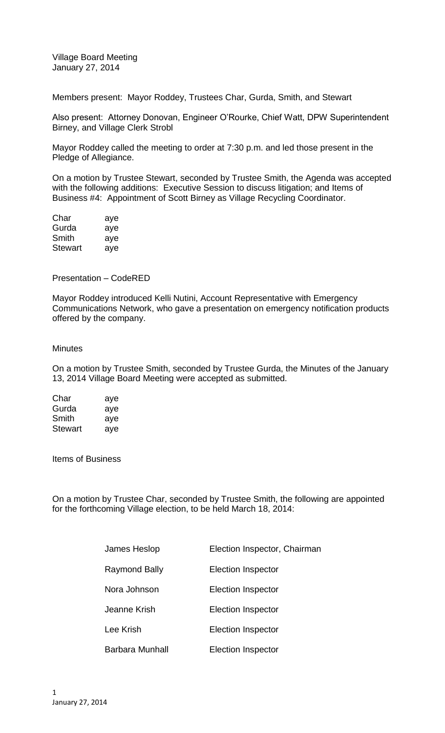Village Board Meeting January 27, 2014

Members present: Mayor Roddey, Trustees Char, Gurda, Smith, and Stewart

Also present: Attorney Donovan, Engineer O'Rourke, Chief Watt, DPW Superintendent Birney, and Village Clerk Strobl

Mayor Roddey called the meeting to order at 7:30 p.m. and led those present in the Pledge of Allegiance.

On a motion by Trustee Stewart, seconded by Trustee Smith, the Agenda was accepted with the following additions: Executive Session to discuss litigation; and Items of Business #4: Appointment of Scott Birney as Village Recycling Coordinator.

| Char    | aye |
|---------|-----|
| Gurda   | aye |
| Smith   | aye |
| Stewart | aye |

Presentation – CodeRED

Mayor Roddey introduced Kelli Nutini, Account Representative with Emergency Communications Network, who gave a presentation on emergency notification products offered by the company.

## **Minutes**

On a motion by Trustee Smith, seconded by Trustee Gurda, the Minutes of the January 13, 2014 Village Board Meeting were accepted as submitted.

| Char           | aye |
|----------------|-----|
| Gurda          | aye |
| Smith          | aye |
| <b>Stewart</b> | aye |

Items of Business

On a motion by Trustee Char, seconded by Trustee Smith, the following are appointed for the forthcoming Village election, to be held March 18, 2014:

| James Heslop    | Election Inspector, Chairman |
|-----------------|------------------------------|
| Raymond Bally   | <b>Election Inspector</b>    |
| Nora Johnson    | Election Inspector           |
| Jeanne Krish    | Election Inspector           |
| Lee Krish       | Election Inspector           |
| Barbara Munhall | <b>Election Inspector</b>    |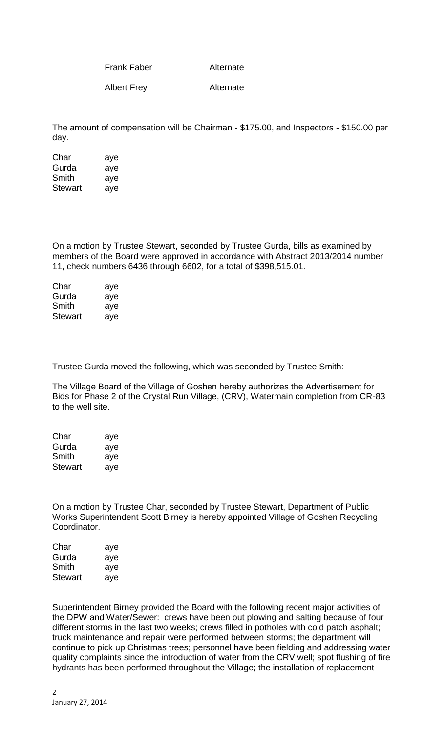Frank Faber Alternate

Albert Frey **Alternate** 

The amount of compensation will be Chairman - \$175.00, and Inspectors - \$150.00 per day.

| Char    | aye |
|---------|-----|
| Gurda   | aye |
| Smith   | aye |
| Stewart | aye |

On a motion by Trustee Stewart, seconded by Trustee Gurda, bills as examined by members of the Board were approved in accordance with Abstract 2013/2014 number 11, check numbers 6436 through 6602, for a total of \$398,515.01.

| Char    | aye |
|---------|-----|
| Gurda   | aye |
| Smith   | aye |
| Stewart | aye |

Trustee Gurda moved the following, which was seconded by Trustee Smith:

The Village Board of the Village of Goshen hereby authorizes the Advertisement for Bids for Phase 2 of the Crystal Run Village, (CRV), Watermain completion from CR-83 to the well site.

| Char    | aye |
|---------|-----|
| Gurda   | aye |
| Smith   | aye |
| Stewart | aye |

On a motion by Trustee Char, seconded by Trustee Stewart, Department of Public Works Superintendent Scott Birney is hereby appointed Village of Goshen Recycling Coordinator.

| Char    | aye |
|---------|-----|
| Gurda   | aye |
| Smith   | aye |
| Stewart | aye |

Superintendent Birney provided the Board with the following recent major activities of the DPW and Water/Sewer: crews have been out plowing and salting because of four different storms in the last two weeks; crews filled in potholes with cold patch asphalt; truck maintenance and repair were performed between storms; the department will continue to pick up Christmas trees; personnel have been fielding and addressing water quality complaints since the introduction of water from the CRV well; spot flushing of fire hydrants has been performed throughout the Village; the installation of replacement